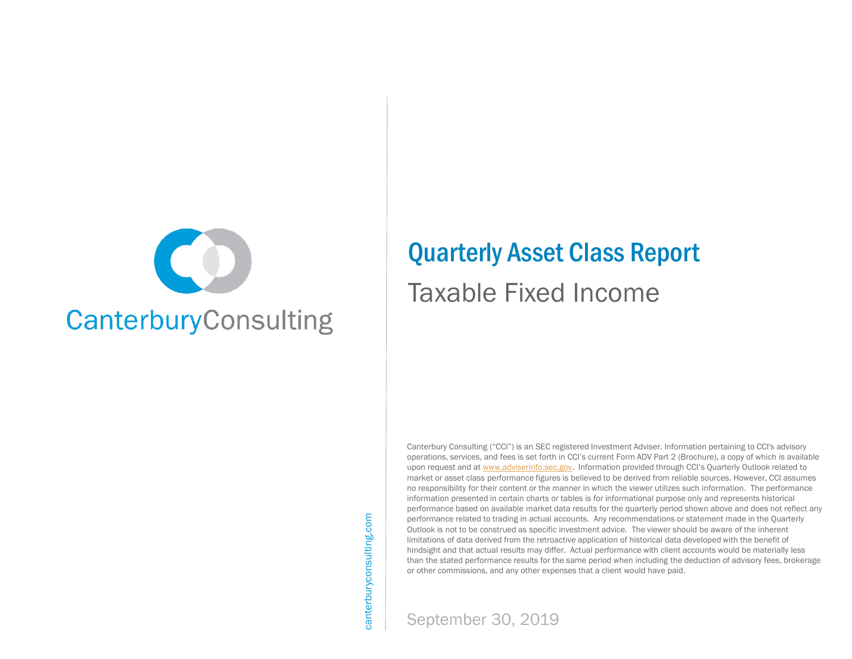

# Quarterly Asset Class Report

# Taxable Fixed Income

Canterbury Consulting ("CCI") is an SEC registered Investment Adviser. Information pertaining to CCI's advisory operations, services, and fees is set forth in CCI's current Form ADV Part 2 (Brochure), a copy of which is available upon request and at [www.adviserinfo.sec.gov.](http://www.adviserinfo.sec.gov/) Information provided through CCI's Quarterly Outlook related to market or asset class performance figures is believed to be derived from reliable sources. However, CCI assumes no responsibility for their content or the manner in which the viewer utilizes such information. The performance information presented in certain charts or tables is for informational purpose only and represents historical performance based on available market data results for the quarterly period shown above and does not reflect any performance related to trading in actual accounts. Any recommendations or statement made in the Quarterly Outlook is not to be construed as specific investment advice. The viewer should be aware of the inherent limitations of data derived from the retroactive application of historical data developed with the benefit of hindsight and that actual results may differ. Actual performance with client accounts would be materially less than the stated performance results for the same period when including the deduction of advisory fees, brokerage or other commissions, and any other expenses that a client would have paid.

canterburyconsulting.com canterburyconsulting.com

September 30, 2019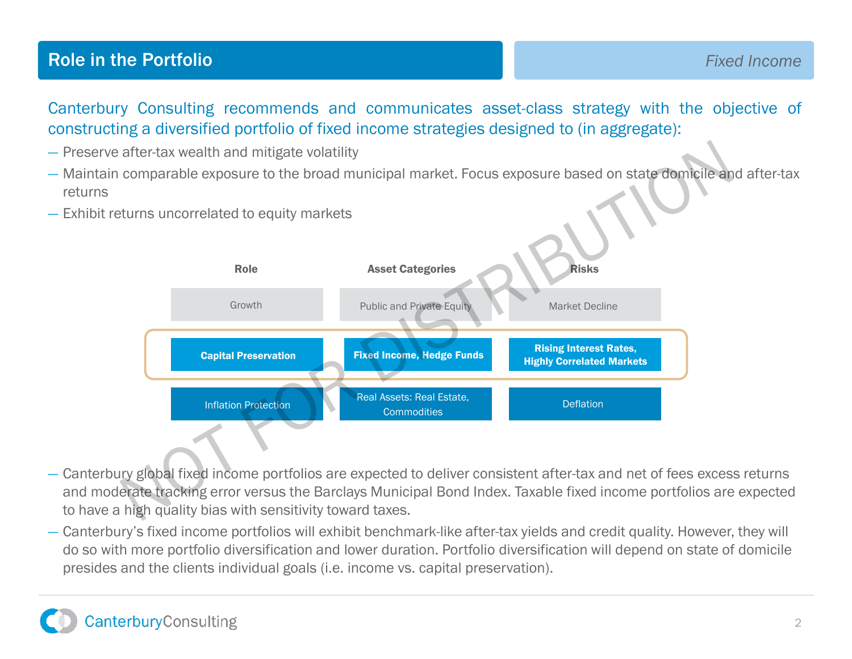## **Role in the Portfolio Fixed Income Fixed Income**

Canterbury Consulting recommends and communicates asset-class strategy with the objective of constructing a diversified portfolio of fixed income strategies designed to (in aggregate):

- Preserve after-tax wealth and mitigate volatility
- Maintain comparable exposure to the broad municipal market. Focus exposure based on state domicile and after-tax returns
- Exhibit returns uncorrelated to equity markets



- Canterbury global fixed income portfolios are expected to deliver consistent after-tax and net of fees excess returns and moderate tracking error versus the Barclays Municipal Bond Index. Taxable fixed income portfolios are expected to have a high quality bias with sensitivity toward taxes.
- Canterbury's fixed income portfolios will exhibit benchmark-like after-tax yields and credit quality. However, they will do so with more portfolio diversification and lower duration. Portfolio diversification will depend on state of domicile presides and the clients individual goals (i.e. income vs. capital preservation).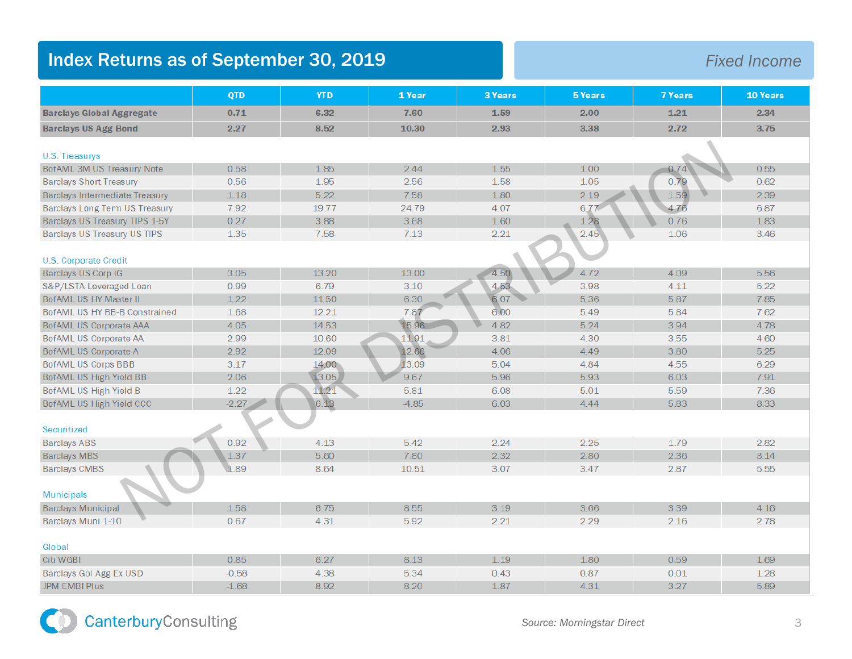## **Index Returns as of September 30, 2019 Fixed Income**

|                                  | <b>QTD</b> | <b>YTD</b> | 1 Year  | 3 Years | 5 Years | <b>7 Years</b> | 10 Years |
|----------------------------------|------------|------------|---------|---------|---------|----------------|----------|
| <b>Barclays Global Aggregate</b> | 0.71       | 6.32       | 7.60    | 1.59    | 2.00    | 1.21           | 2.34     |
| <b>Barclays US Agg Bond</b>      | 2.27       | 8.52       | 10.30   | 2.93    | 3.38    | 2.72           | 3.75     |
| U.S. Treasurys                   |            |            |         |         |         |                |          |
| BofAML 3M US Treasury Note       | 0.58       | 1.85       | 2.44    | 1.55    | 1.00    | 0.74           | 0.55     |
| <b>Barclays Short Treasury</b>   | 0.56       | 1.95       | 2.56    | 1.58    | 1.05    | 0.79           | 0.62     |
| Barclays Intermediate Treasury   | 1.18       | 5.22       | 7.58    | 1.80    | 2.19    | 1.59           | 2.39     |
| Barclays Long Term US Treasury   | 7.92       | 19.77      | 24.79   | 4.07    | 6.77    | 4.76           | 6.87     |
| Barclays US Treasury TIPS 1-5Y   | 0.27       | 3.88       | 3.68    | 1.60    | 1.28    | 0.76           | 1.83     |
| Barclays US Treasury US TIPS     | 1.35       | 7.58       | 7.13    | 2.21    | 2.45    | 1.06           | 3.46     |
|                                  |            |            |         |         |         |                |          |
| U.S. Corporate Credit            |            |            |         |         |         |                |          |
| Barclays US Corp IG              | 3.05       | 13.20      | 13.00   | 4.50    | 4.72    | 4.09           | 5.56     |
| S&P/LSTA Leveraged Loan          | 0.99       | 6.79       | 3.10    | 4.53    | 3.98    | 4.11           | 5.22     |
| BofAML US HY Master II           | 1.22       | 11.50      | 6.30    | 6.07    | 5.36    | 5.87           | 7.85     |
| BofAML US HY BB-B Constrained    | 1.68       | 12.21      | 7.87    | 6.00    | 5.49    | 5.84           | 7.62     |
| <b>BofAML US Corporate AAA</b>   | 4.05       | 14.53      | 15.96   | 4.82    | 5.24    | 3.94           | 4.78     |
| BofAML US Corporate AA           | 2.99       | 10.60      | 11.91   | 3.81    | 4.30    | 3.55           | 4.60     |
| BofAML US Corporate A            | 2.92       | 12.09      | 12.66   | 4.06    | 4.49    | 3.80           | 5.25     |
| BofAML US Corps BBB              | 3.17       | 14.00      | 13.09   | 5.04    | 4.84    | 4.55           | 6.29     |
| BofAML US High Yield BB          | 2.06       | 13.05      | 9.67    | 5.96    | 5.93    | 6.03           | 7.91     |
| BofAML US High Yield B           | 1.22       | 11.21      | 5.81    | 6.08    | 5.01    | 5.59           | 7.36     |
| BofAML US High Yield CCC         | $-2.27$    | 6.13       | $-4.85$ | 6.03    | 4.44    | 5.83           | 8.33     |
|                                  |            |            |         |         |         |                |          |
| Securitized                      |            |            |         |         |         |                |          |
| <b>Barclays ABS</b>              | 0.92       | 4.13       | 5.42    | 2.24    | 2.25    | 1.79           | 2.82     |
| <b>Barclays MBS</b>              | 1.37       | 5.60       | 7.80    | 2.32    | 2.80    | 2.36           | 3.14     |
| <b>Barclays CMBS</b>             | 1.89       | 8.64       | 10.51   | 3.07    | 3.47    | 2.87           | 5.55     |
|                                  |            |            |         |         |         |                |          |
| <b>Municipals</b>                |            |            |         |         |         |                |          |
| <b>Barclays Municipal</b>        | 1.58       | 6.75       | 8.55    | 3.19    | 3.66    | 3.39           | 4.16     |
| Barclays Muni 1-10               | 0.67       | 4.31       | 5.92    | 2.21    | 2.29    | 2.16           | 2.78     |
|                                  |            |            |         |         |         |                |          |
| Global                           |            |            |         |         |         |                |          |
| Citi WGBI                        | 0.85       | 6.27       | 8.13    | 1.19    | 1.80    | 0.59           | 1.69     |
| Barclays GbI Agg Ex USD          | $-0.58$    | 4.38       | 5.34    | 0.43    | 0.87    | 0.01           | 1.28     |
| <b>JPM EMBI Plus</b>             | $-1.68$    | 8.92       | 8.20    | 1.87    | 4.31    | 3.27           | 5.89     |

CanterburyConsulting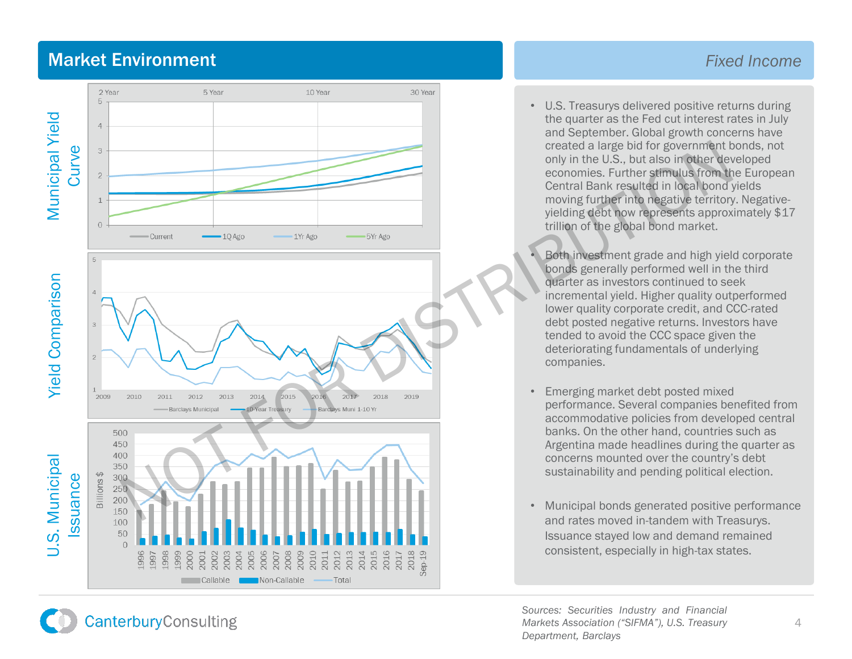## Market Environment

**CanterburyConsulting** 



### *Fixed Income*

• U.S. Treasurys delivered positive returns during the quarter as the Fed cut interest rates in July and September. Global growth concerns have created a large bid for government bonds, not only in the U.S., but also in other developed economies. Further stimulus from the European Central Bank resulted in local bond yields moving further into negative territory. Negative yielding debt now represents approximately \$17 trillion of the global bond market.

• Both investment grade and high yield corporate bonds generally performed well in the third quarter as investors continued to seek incremental yield. Higher quality outperformed lower quality corporate credit, and CCC -rated debt posted negative returns. Investors have tended to avoid the CCC space given the deteriorating fundamentals of underlying companies.

- Emerging market debt posted mixed performance. Several companies benefited from accommodative policies from developed central banks. On the other hand, countries such as Argentina made headlines during the quarter as concerns mounted over the country's debt sustainability and pending political election.
- Municipal bonds generated positive performance and rates moved in -tandem with Treasurys. Issuance stayed low and demand remained consistent, especially in high -tax states.